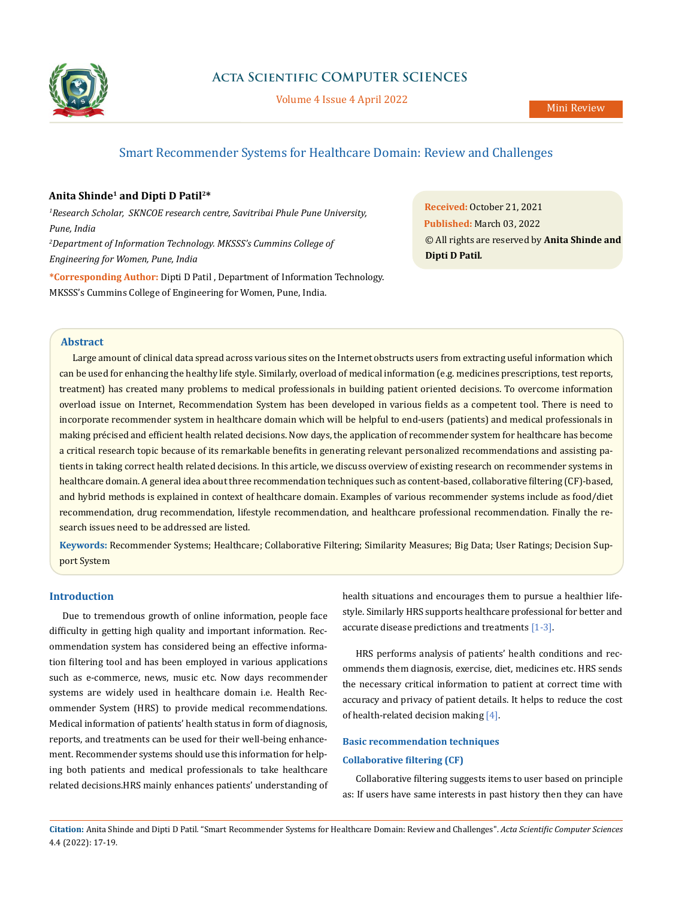

# **Acta Scientific COMPUTER SCIENCES**

Volume 4 Issue 4 April 2022

# Smart Recommender Systems for Healthcare Domain: Review and Challenges

## **Anita Shinde1 and Dipti D Patil2\***

*1 Research Scholar, SKNCOE research centre, Savitribai Phule Pune University, Pune, India 2 Department of Information Technology. MKSSS's Cummins College of Engineering for Women, Pune, India*

**\*Corresponding Author:** Dipti D Patil , Department of Information Technology. MKSSS's Cummins College of Engineering for Women, Pune, India.

**Received:** October 21, 2021 **Published:** March 03, 2022 © All rights are reserved by **Anita Shinde and Dipti D Patil***.*

#### **Abstract**

Large amount of clinical data spread across various sites on the Internet obstructs users from extracting useful information which can be used for enhancing the healthy life style. Similarly, overload of medical information (e.g. medicines prescriptions, test reports, treatment) has created many problems to medical professionals in building patient oriented decisions. To overcome information overload issue on Internet, Recommendation System has been developed in various fields as a competent tool. There is need to incorporate recommender system in healthcare domain which will be helpful to end-users (patients) and medical professionals in making précised and efficient health related decisions. Now days, the application of recommender system for healthcare has become a critical research topic because of its remarkable benefits in generating relevant personalized recommendations and assisting patients in taking correct health related decisions. In this article, we discuss overview of existing research on recommender systems in healthcare domain. A general idea about three recommendation techniques such as content-based, collaborative filtering (CF)-based, and hybrid methods is explained in context of healthcare domain. Examples of various recommender systems include as food/diet recommendation, drug recommendation, lifestyle recommendation, and healthcare professional recommendation. Finally the research issues need to be addressed are listed.

**Keywords:** Recommender Systems; Healthcare; Collaborative Filtering; Similarity Measures; Big Data; User Ratings; Decision Support System

#### **Introduction**

Due to tremendous growth of online information, people face difficulty in getting high quality and important information. Recommendation system has considered being an effective information filtering tool and has been employed in various applications such as e-commerce, news, music etc. Now days recommender systems are widely used in healthcare domain i.e. Health Recommender System (HRS) to provide medical recommendations. Medical information of patients' health status in form of diagnosis, reports, and treatments can be used for their well-being enhancement. Recommender systems should use this information for helping both patients and medical professionals to take healthcare related decisions.HRS mainly enhances patients' understanding of health situations and encourages them to pursue a healthier lifestyle. Similarly HRS supports healthcare professional for better and accurate disease predictions and treatments [1-3].

HRS performs analysis of patients' health conditions and recommends them diagnosis, exercise, diet, medicines etc. HRS sends the necessary critical information to patient at correct time with accuracy and privacy of patient details. It helps to reduce the cost of health-related decision making  $[4]$ .

## **Basic recommendation techniques Collaborative filtering (CF)**

Collaborative filtering suggests items to user based on principle as: If users have same interests in past history then they can have

**Citation:** Anita Shinde and Dipti D Patil*.* "Smart Recommender Systems for Healthcare Domain: Review and Challenges". *Acta Scientific Computer Sciences*  4.4 (2022): 17-19.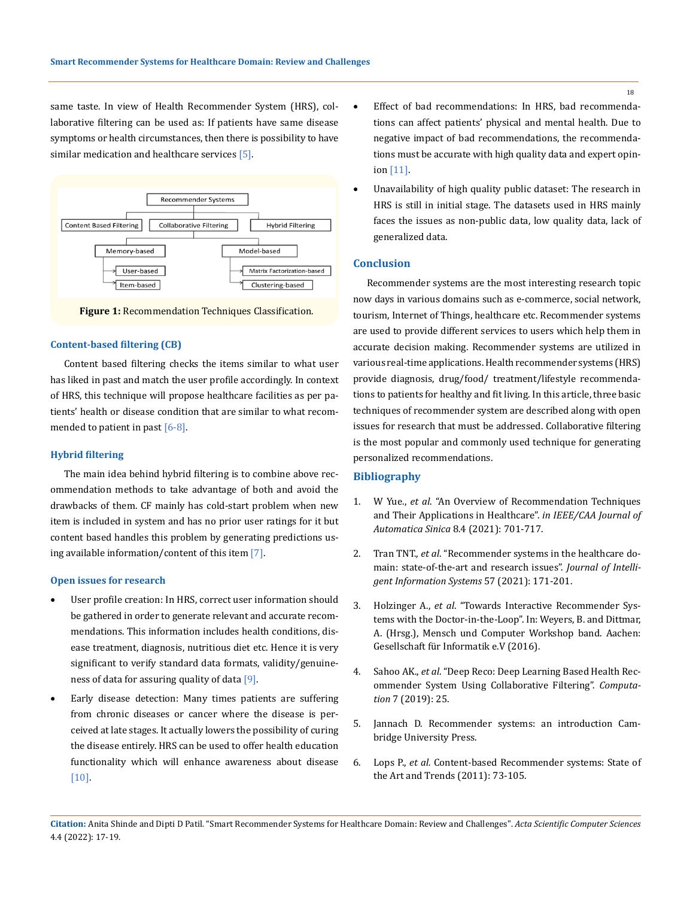same taste. In view of Health Recommender System (HRS), collaborative filtering can be used as: If patients have same disease symptoms or health circumstances, then there is possibility to have similar medication and healthcare services [5].



**Figure 1:** Recommendation Techniques Classification.

#### **Content-based filtering (CB)**

Content based filtering checks the items similar to what user has liked in past and match the user profile accordingly. In context of HRS, this technique will propose healthcare facilities as per patients' health or disease condition that are similar to what recommended to patient in past [6-8].

#### **Hybrid filtering**

The main idea behind hybrid filtering is to combine above recommendation methods to take advantage of both and avoid the drawbacks of them. CF mainly has cold-start problem when new item is included in system and has no prior user ratings for it but content based handles this problem by generating predictions using available information/content of this item  $[7]$ .

#### **Open issues for research**

- User profile creation: In HRS, correct user information should be gathered in order to generate relevant and accurate recommendations. This information includes health conditions, disease treatment, diagnosis, nutritious diet etc. Hence it is very significant to verify standard data formats, validity/genuineness of data for assuring quality of data [9].
- Early disease detection: Many times patients are suffering from chronic diseases or cancer where the disease is perceived at late stages. It actually lowers the possibility of curing the disease entirely. HRS can be used to offer health education functionality which will enhance awareness about disease [10].
- Effect of bad recommendations: In HRS, bad recommendations can affect patients' physical and mental health. Due to negative impact of bad recommendations, the recommendations must be accurate with high quality data and expert opinion [11].
- Unavailability of high quality public dataset: The research in HRS is still in initial stage. The datasets used in HRS mainly faces the issues as non-public data, low quality data, lack of generalized data.

#### **Conclusion**

Recommender systems are the most interesting research topic now days in various domains such as e-commerce, social network, tourism, Internet of Things, healthcare etc. Recommender systems are used to provide different services to users which help them in accurate decision making. Recommender systems are utilized in various real-time applications. Health recommender systems (HRS) provide diagnosis, drug/food/ treatment/lifestyle recommendations to patients for healthy and fit living. In this article, three basic techniques of recommender system are described along with open issues for research that must be addressed. Collaborative filtering is the most popular and commonly used technique for generating personalized recommendations.

#### **Bibliography**

- 1. W Yue., *et al*[. "An Overview of Recommendation Techniques](https://ieeexplore.ieee.org/document/9358461)  [and Their Applications in Healthcare".](https://ieeexplore.ieee.org/document/9358461) *in IEEE/CAA Journal of Automatica Sinica* [8.4 \(2021\): 701-717.](https://ieeexplore.ieee.org/document/9358461)
- 2. Tran TNT., *et al*[. "Recommender systems in the healthcare do](https://link.springer.com/article/10.1007/s10844-020-00633-6)[main: state-of-the-art and research issues".](https://link.springer.com/article/10.1007/s10844-020-00633-6) *Journal of Intelli[gent Information Systems](https://link.springer.com/article/10.1007/s10844-020-00633-6)* 57 (2021): 171-201.
- 3. Holzinger A., *et al*[. "Towards Interactive Recommender Sys](https://www.researchgate.net/publication/307932158_Towards_Interactive_Recommender_Systems_with_the_Doctor-in-the-Loop)[tems with the Doctor-in-the-Loop". In: Weyers, B. and Dittmar,](https://www.researchgate.net/publication/307932158_Towards_Interactive_Recommender_Systems_with_the_Doctor-in-the-Loop)  [A. \(Hrsg.\), Mensch und Computer Workshop band. Aachen:](https://www.researchgate.net/publication/307932158_Towards_Interactive_Recommender_Systems_with_the_Doctor-in-the-Loop)  [Gesellschaft für Informatik e.V \(2016\).](https://www.researchgate.net/publication/307932158_Towards_Interactive_Recommender_Systems_with_the_Doctor-in-the-Loop)
- 4. Sahoo AK., *et al*[. "Deep Reco: Deep Learning Based Health Rec](https://www.mdpi.com/2079-3197/7/2/25)[ommender System Using Collaborative Filtering".](https://www.mdpi.com/2079-3197/7/2/25) *Computation* [7 \(2019\): 25.](https://www.mdpi.com/2079-3197/7/2/25)
- 5. Jannach D. Recommender systems: an introduction Cambridge University Press.
- 6. Lops P., *et al.* [Content-based Recommender systems: State of](https://link.springer.com/chapter/10.1007/978-0-387-85820-3_3)  [the Art and Trends \(2011\): 73-105.](https://link.springer.com/chapter/10.1007/978-0-387-85820-3_3)

18

**Citation:** Anita Shinde and Dipti D Patil*.* "Smart Recommender Systems for Healthcare Domain: Review and Challenges". *Acta Scientific Computer Sciences*  4.4 (2022): 17-19.